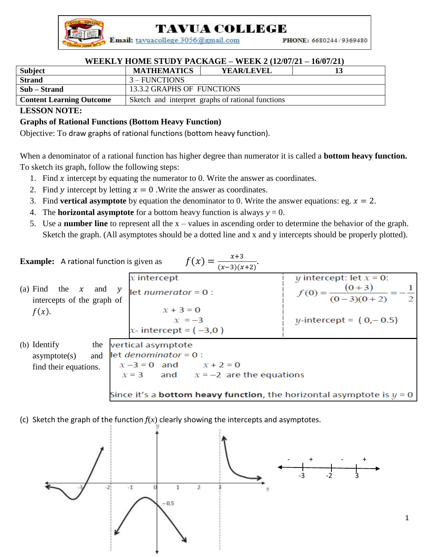TAVUA COLLEGE

Email: tavuacollege.3056@gmail.com

PHONE: 6680244/9369480

1

## **WEEKLY HOME STUDY PACKAGE – WEEK 2 (12/07/21 – 16/07/21)**

| Subject                         | <b>MATHEMATICS</b>                                | <b>YEAR/LEVEL</b> |  |
|---------------------------------|---------------------------------------------------|-------------------|--|
| <b>Strand</b>                   | $3 - FUNCTIONS$                                   |                   |  |
| Sub – Strand                    | 13.3.2 GRAPHS OF FUNCTIONS                        |                   |  |
| <b>Content Learning Outcome</b> | Sketch and interpret graphs of rational functions |                   |  |

## **LESSON NOTE:**

## **Graphs of Rational Functions (Bottom Heavy Function)**

Objective: To draw graphs of rational functions (bottom heavy function).

When a denominator of a rational function has higher degree than numerator it is called a **bottom heavy function.** To sketch its graph, follow the following steps:

- 1. Find  $\chi$  intercept by equating the numerator to 0. Write the answer as coordinates.
- 2. Find y intercept by letting  $x = 0$ . Write the answer as coordinates.
- 3. Find **vertical asymptote** by equation the denominator to 0. Write the answer equations: eg.  $x = 2$ .
- 4. The **horizontal asymptote** for a bottom heavy function is always  $y = 0$ .
- 5. Use a **number line** to represent all the x values in ascending order to determine the behavior of the graph. Sketch the graph. (All asymptotes should be a dotted line and x and y intercepts should be properly plotted).

**Example:** A rational function is given as

\n

| $f(x) = \frac{x+3}{(x-3)(x+2)}$        |                            |
|----------------------------------------|----------------------------|
| (a) Find the x and y                   | y                          |
| $f(x)$ .                               | y intercept: let $x = 0$ : |
| $f(x)$ .                               | y intercept: let $x = 0$ : |
| $f(x)$ .                               | y intercept: let $x = 0$ : |
| $f(x)$ .                               | y intercept: let $x = 0$ : |
| $f(x)$ .                               | y intercept: let $x = 0$ . |
| $f(x)$ .                               | y-intercept = (0, -0.5)    |
| $x + 3 = 0$                            | y-intercept = (0, -0.5)    |
| $x - 3 = 0$                            | x + 2 = 0                  |
| $x - 3 = 0$ and $x + 2 = 0$            |                            |
| $x = 3$ and $x = -2$ are the equations |                            |

\nSince it's a **bottom heavy function**, the horizontal asymptote is  $y = 0$ .

(c) Sketch the graph of the function *f*(*x*) clearly showing the intercepts and asymptotes.